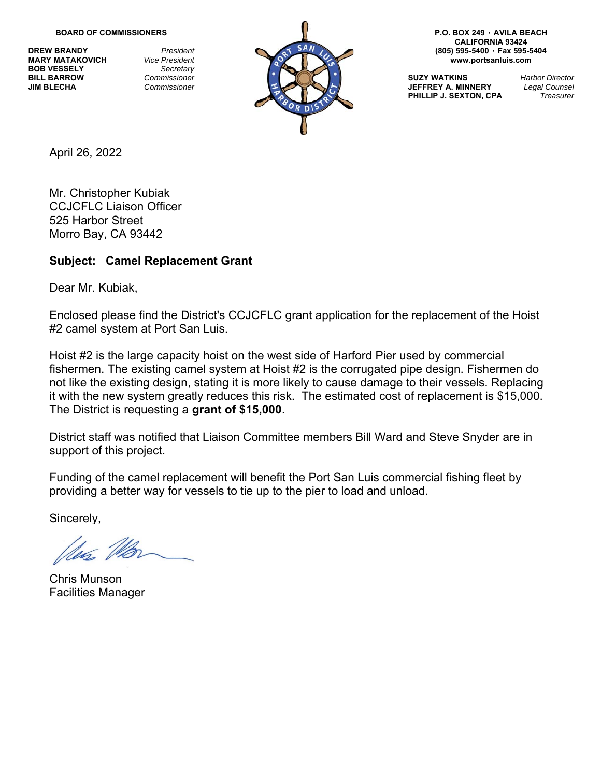**BOB VESSELY** *Secretary* 



**CALIFORNIA 93424** 

**PHILLIP J. SEXTON, CPA** 

April 26, 2022

Mr. Christopher Kubiak CCJCFLC Liaison Officer 525 Harbor Street Morro Bay, CA 93442

## **Subject: Camel Replacement Grant**

Dear Mr. Kubiak,

Enclosed please find the District's CCJCFLC grant application for the replacement of the Hoist #2 camel system at Port San Luis.

Hoist #2 is the large capacity hoist on the west side of Harford Pier used by commercial fishermen. The existing camel system at Hoist #2 is the corrugated pipe design. Fishermen do not like the existing design, stating it is more likely to cause damage to their vessels. Replacing it with the new system greatly reduces this risk. The estimated cost of replacement is \$15,000. The District is requesting a **grant of \$15,000**.

District staff was notified that Liaison Committee members Bill Ward and Steve Snyder are in support of this project.

Funding of the camel replacement will benefit the Port San Luis commercial fishing fleet by providing a better way for vessels to tie up to the pier to load and unload.

Sincerely,

Chris Munson Facilities Manager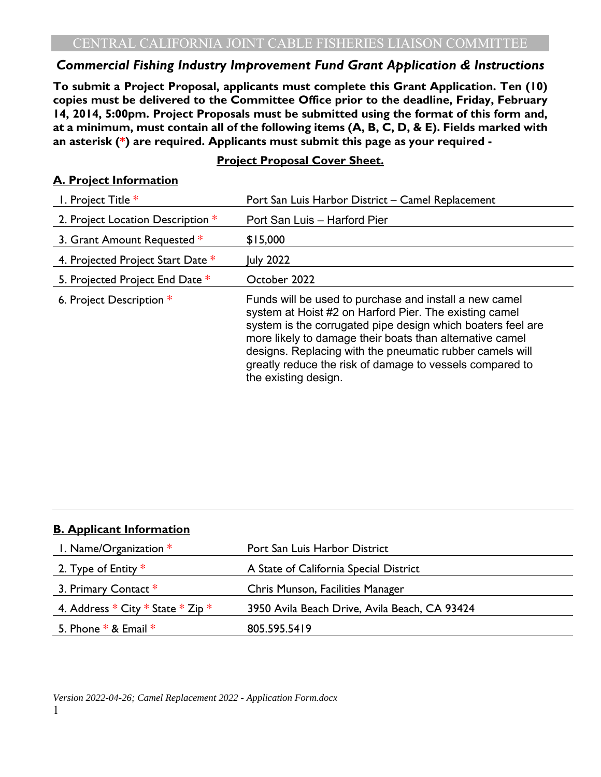## *Commercial Fishing Industry Improvement Fund Grant Application & Instructions*

**To submit a Project Proposal, applicants must complete this Grant Application. Ten (10) copies must be delivered to the Committee Office prior to the deadline, Friday, February 14, 2014, 5:00pm. Project Proposals must be submitted using the format of this form and, at a minimum, must contain all of the following items (A, B, C, D, & E). Fields marked with an asterisk (\*) are required. Applicants must submit this page as your required -** 

## **Project Proposal Cover Sheet.**

#### **A. Project Information**

| 1. Project Title *                | Port San Luis Harbor District - Camel Replacement                                                                                                                                                                                                                                                                                                                                           |
|-----------------------------------|---------------------------------------------------------------------------------------------------------------------------------------------------------------------------------------------------------------------------------------------------------------------------------------------------------------------------------------------------------------------------------------------|
| 2. Project Location Description * | Port San Luis - Harford Pier                                                                                                                                                                                                                                                                                                                                                                |
| 3. Grant Amount Requested *       | \$15,000                                                                                                                                                                                                                                                                                                                                                                                    |
| 4. Projected Project Start Date * | July 2022                                                                                                                                                                                                                                                                                                                                                                                   |
| 5. Projected Project End Date *   | October 2022                                                                                                                                                                                                                                                                                                                                                                                |
| 6. Project Description *          | Funds will be used to purchase and install a new camel<br>system at Hoist #2 on Harford Pier. The existing camel<br>system is the corrugated pipe design which boaters feel are<br>more likely to damage their boats than alternative camel<br>designs. Replacing with the pneumatic rubber camels will<br>greatly reduce the risk of damage to vessels compared to<br>the existing design. |

| <b>B. Applicant Information</b>           |                                               |  |
|-------------------------------------------|-----------------------------------------------|--|
| 1. Name/Organization $*$                  | Port San Luis Harbor District                 |  |
| 2. Type of Entity $*$                     | A State of California Special District        |  |
| 3. Primary Contact *                      | Chris Munson, Facilities Manager              |  |
| 4. Address $*$ City $*$ State $*$ Zip $*$ | 3950 Avila Beach Drive, Avila Beach, CA 93424 |  |
| 5. Phone $*$ & Email $*$                  | 805.595.5419                                  |  |
|                                           |                                               |  |

#### *Version 2022-04-26; Camel Replacement 2022 - Application Form.docx*  1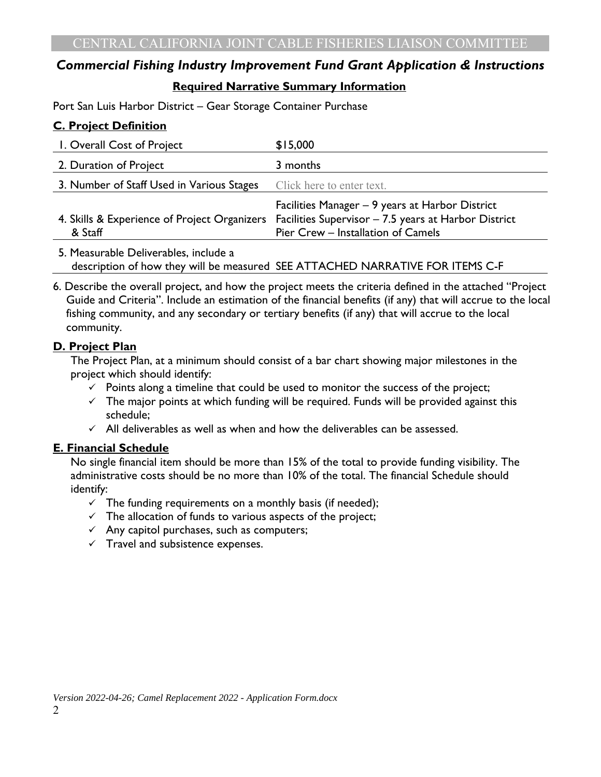# *Commercial Fishing Industry Improvement Fund Grant Application & Instructions*  **Required Narrative Summary Information**

Port San Luis Harbor District – Gear Storage Container Purchase

## **C. Project Definition**

| I. Overall Cost of Project                | \$15,000                                                                                                                                                                                   |
|-------------------------------------------|--------------------------------------------------------------------------------------------------------------------------------------------------------------------------------------------|
| 2. Duration of Project                    | 3 months                                                                                                                                                                                   |
| 3. Number of Staff Used in Various Stages | Click here to enter text.                                                                                                                                                                  |
| & Staff                                   | Facilities Manager - 9 years at Harbor District<br>4. Skills & Experience of Project Organizers Facilities Supervisor - 7.5 years at Harbor District<br>Pier Crew - Installation of Camels |

5. Measurable Deliverables, include a description of how they will be measured SEE ATTACHED NARRATIVE FOR ITEMS C-F

6. Describe the overall project, and how the project meets the criteria defined in the attached "Project Guide and Criteria". Include an estimation of the financial benefits (if any) that will accrue to the local fishing community, and any secondary or tertiary benefits (if any) that will accrue to the local community.

## **D. Project Plan**

The Project Plan, at a minimum should consist of a bar chart showing major milestones in the project which should identify:

- $\checkmark$  Points along a timeline that could be used to monitor the success of the project;
- $\checkmark$  The major points at which funding will be required. Funds will be provided against this schedule;
- $\checkmark$  All deliverables as well as when and how the deliverables can be assessed.

#### **E. Financial Schedule**

No single financial item should be more than 15% of the total to provide funding visibility. The administrative costs should be no more than 10% of the total. The financial Schedule should identify:

- $\checkmark$  The funding requirements on a monthly basis (if needed);
- $\checkmark$  The allocation of funds to various aspects of the project;
- $\checkmark$  Any capitol purchases, such as computers;
- $\checkmark$  Travel and subsistence expenses.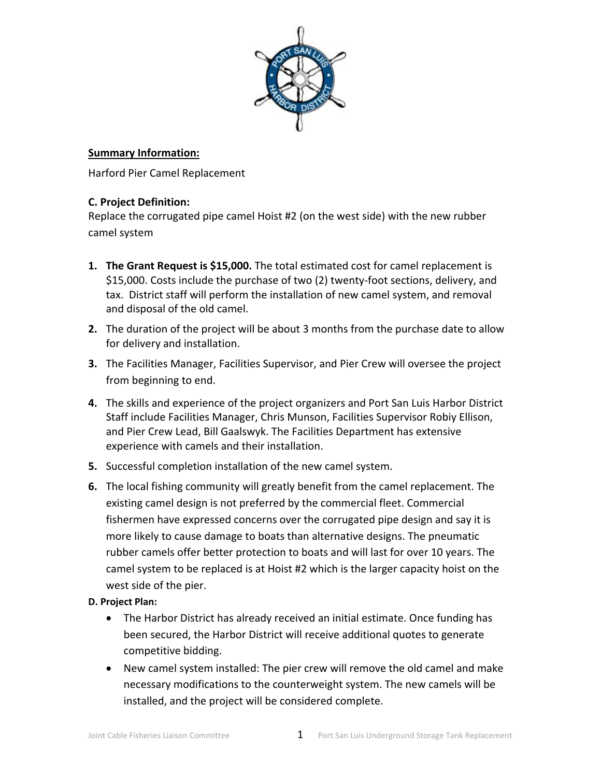

#### **Summary Information:**

Harford Pier Camel Replacement

#### **C. Project Definition:**

Replace the corrugated pipe camel Hoist #2 (on the west side) with the new rubber camel system

- **1. The Grant Request is \$15,000.** The total estimated cost for camel replacement is \$15,000. Costs include the purchase of two (2) twenty‐foot sections, delivery, and tax. District staff will perform the installation of new camel system, and removal and disposal of the old camel.
- **2.** The duration of the project will be about 3 months from the purchase date to allow for delivery and installation.
- **3.** The Facilities Manager, Facilities Supervisor, and Pier Crew will oversee the project from beginning to end.
- **4.** The skills and experience of the project organizers and Port San Luis Harbor District Staff include Facilities Manager, Chris Munson, Facilities Supervisor Robiy Ellison, and Pier Crew Lead, Bill Gaalswyk. The Facilities Department has extensive experience with camels and their installation.
- **5.** Successful completion installation of the new camel system.
- **6.** The local fishing community will greatly benefit from the camel replacement. The existing camel design is not preferred by the commercial fleet. Commercial fishermen have expressed concerns over the corrugated pipe design and say it is more likely to cause damage to boats than alternative designs. The pneumatic rubber camels offer better protection to boats and will last for over 10 years. The camel system to be replaced is at Hoist #2 which is the larger capacity hoist on the west side of the pier.

#### **D. Project Plan:**

- The Harbor District has already received an initial estimate. Once funding has been secured, the Harbor District will receive additional quotes to generate competitive bidding.
- New camel system installed: The pier crew will remove the old camel and make necessary modifications to the counterweight system. The new camels will be installed, and the project will be considered complete.